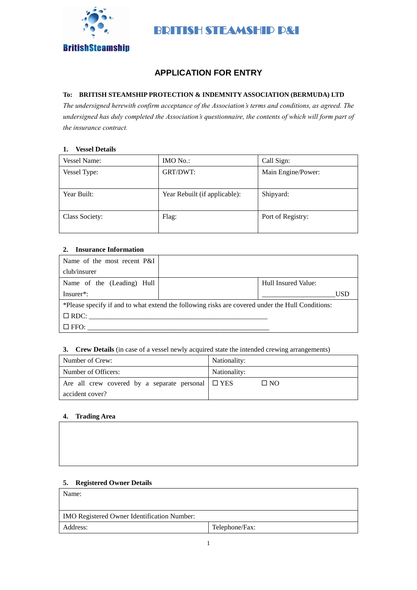

# **APPLICATION FOR ENTRY**

# **To: BRITISH STEAMSHIP PROTECTION & INDEMNITY ASSOCIATION (BERMUDA) LTD**

*The undersigned herewith confirm acceptance of the Association's terms and conditions, as agreed. The undersigned has duly completed the Association's questionnaire, the contents of which will form part of the insurance contract.*

#### **1. Vessel Details**

| <b>Vessel Name:</b> | IMO No.                       | Call Sign:         |  |
|---------------------|-------------------------------|--------------------|--|
| Vessel Type:        | GRT/DWT:                      | Main Engine/Power: |  |
|                     |                               |                    |  |
| Year Built:         | Year Rebuilt (if applicable): | Shipyard:          |  |
| Class Society:      | Flag:                         | Port of Registry:  |  |

#### **2. Insurance Information**

| Name of the most recent P&I |                                                                                                  |                     |
|-----------------------------|--------------------------------------------------------------------------------------------------|---------------------|
| club/insurer                |                                                                                                  |                     |
| Name of the (Leading) Hull  |                                                                                                  | Hull Insured Value: |
| $Insurer^*$ :               |                                                                                                  | USD                 |
|                             | *Please specify if and to what extend the following risks are covered under the Hull Conditions: |                     |
| $\Box$ RDC:                 |                                                                                                  |                     |
| $\square$ FFO:              |                                                                                                  |                     |

## **3. Crew Details** (in case of a vessel newly acquired state the intended crewing arrangements)

| Number of Crew:                                        | Nationality: |  |
|--------------------------------------------------------|--------------|--|
| Number of Officers:                                    | Nationality: |  |
| Are all crew covered by a separate personal $\Box$ YES | $\square$ NO |  |
| accident cover?                                        |              |  |

## **4. Trading Area**

# **5. Registered Owner Details**

| Name:                                       |                |
|---------------------------------------------|----------------|
| IMO Registered Owner Identification Number: |                |
| Address:                                    | Telephone/Fax: |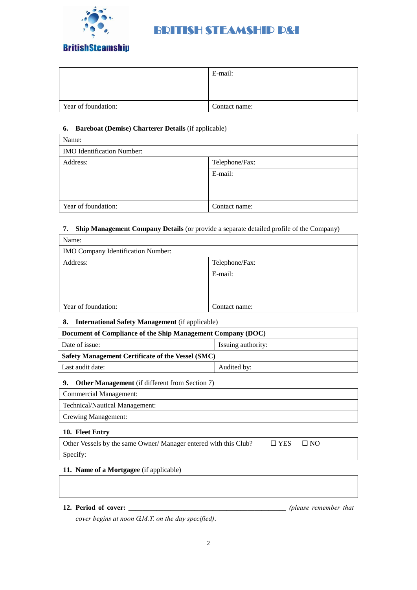

# **BritishSteamship**

|                     | E-mail:       |
|---------------------|---------------|
|                     |               |
|                     |               |
| Year of foundation: | Contact name: |

# **6. Bareboat (Demise) Charterer Details** (if applicable)

| Name:                             |                |  |
|-----------------------------------|----------------|--|
| <b>IMO</b> Identification Number: |                |  |
| Address:                          | Telephone/Fax: |  |
|                                   | E-mail:        |  |
|                                   |                |  |
|                                   |                |  |
| Year of foundation:               | Contact name:  |  |

# **7. Ship Management Company Details** (or provide a separate detailed profile of the Company)

| Name:                              |                |  |  |
|------------------------------------|----------------|--|--|
| IMO Company Identification Number: |                |  |  |
| Address:                           | Telephone/Fax: |  |  |
|                                    | E-mail:        |  |  |
|                                    |                |  |  |
|                                    |                |  |  |
| Year of foundation:                | Contact name:  |  |  |

# **8. International Safety Management** (if applicable)

| Document of Compliance of the Ship Management Company (DOC) |  |  |  |
|-------------------------------------------------------------|--|--|--|
| Date of issue:<br>Issuing authority:                        |  |  |  |
| Safety Management Certificate of the Vessel (SMC)           |  |  |  |
| Last audit date:<br>Audited by:                             |  |  |  |

# **9. Other Management** (if different from Section 7)

| <b>Commercial Management:</b>         |  |
|---------------------------------------|--|
| <b>Technical/Nautical Management:</b> |  |
| <b>Crewing Management:</b>            |  |

# **10. Fleet Entry**

| Other Vessels by the same Owner/Manager entered with this Club? | $\Box$ YES $\Box$ NO |  |
|-----------------------------------------------------------------|----------------------|--|
| Specify:                                                        |                      |  |

# **11. Name of a Mortgagee** (if applicable)

# **12. Period of cover: \_\_\_\_\_\_\_\_\_\_\_\_\_\_\_\_\_\_\_\_\_\_\_\_\_\_\_\_\_\_\_\_\_\_\_\_\_\_\_\_\_\_\_\_\_** *(please remember that*

*cover begins at noon G.M.T. on the day specified)*.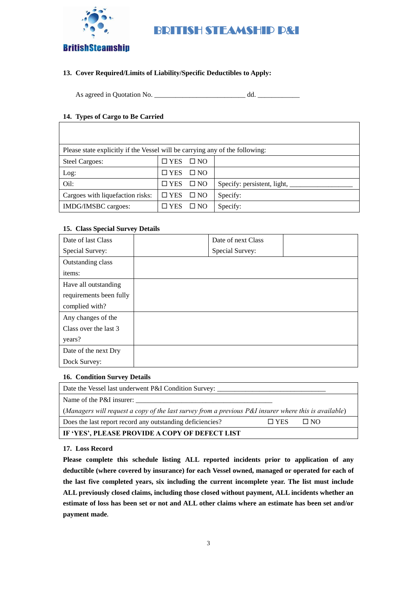

# **BritishSteamship**

# **13. Cover Required/Limits of Liability/Specific Deductibles to Apply:**

As agreed in Quotation No. \_\_\_\_\_\_\_\_\_\_\_\_\_\_\_\_\_\_\_\_\_\_\_\_\_\_ dd. \_\_\_\_\_\_\_\_\_\_\_\_

# **14. Types of Cargo to Be Carried**

|                                  | Please state explicitly if the Vessel will be carrying any of the following: |              |                             |  |  |
|----------------------------------|------------------------------------------------------------------------------|--------------|-----------------------------|--|--|
| <b>Steel Cargoes:</b>            | <b>YES</b>                                                                   | $\Box$ NO    |                             |  |  |
| Log:                             | $\square$ YES                                                                | $\square$ NO |                             |  |  |
| Oil:                             | $\square$ YES                                                                | $\Box$ NO    | Specify: persistent, light, |  |  |
| Cargoes with liquefaction risks: | $\square$ YES                                                                | $\square$ NO | Specify:                    |  |  |
| IMDG/IMSBC cargoes:              | <b>YES</b>                                                                   | $\square$ NO | Specify:                    |  |  |

## **15. Class Special Survey Details**

| Date of last Class      | Date of next Class |  |
|-------------------------|--------------------|--|
| Special Survey:         | Special Survey:    |  |
| Outstanding class       |                    |  |
| items:                  |                    |  |
| Have all outstanding    |                    |  |
| requirements been fully |                    |  |
| complied with?          |                    |  |
| Any changes of the      |                    |  |
| Class over the last 3   |                    |  |
| years?                  |                    |  |
| Date of the next Dry    |                    |  |
| Dock Survey:            |                    |  |

#### **16. Condition Survey Details**

| Date the Vessel last underwent P&I Condition Survey:                                                  |            |           |
|-------------------------------------------------------------------------------------------------------|------------|-----------|
| Name of the P&I insurer:                                                                              |            |           |
| (Managers will request a copy of the last survey from a previous P&I insurer where this is available) |            |           |
| Does the last report record any outstanding deficiencies?                                             | $\Box$ YES | $\Box$ NO |
| IF 'YES', PLEASE PROVIDE A COPY OF DEFECT LIST                                                        |            |           |

**17. Loss Record**

**Please complete this schedule listing ALL reported incidents prior to application of any deductible (where covered by insurance) for each Vessel owned, managed or operated for each of the last five completed years, six including the current incomplete year. The list must include ALL previously closed claims, including those closed without payment, ALL incidents whether an estimate of loss has been set or not and ALL other claims where an estimate has been set and/or payment made.**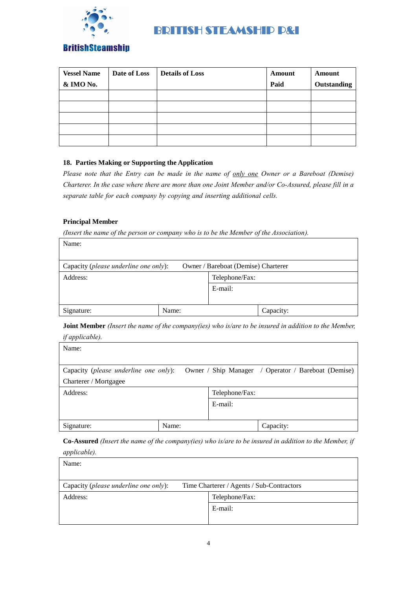

# **BritishSteamship**

| <b>Vessel Name</b> | Date of Loss | <b>Details of Loss</b> | <b>Amount</b> | Amount      |
|--------------------|--------------|------------------------|---------------|-------------|
| & IMO No.          |              |                        | Paid          | Outstanding |
|                    |              |                        |               |             |
|                    |              |                        |               |             |
|                    |              |                        |               |             |
|                    |              |                        |               |             |
|                    |              |                        |               |             |

# **18. Parties Making or Supporting the Application**

*Please note that the Entry can be made in the name of only one Owner or a Bareboat (Demise) Charterer. In the case where there are more than one Joint Member and/or Co-Assured, please fill in a separate table for each company by copying and inserting additional cells.* 

## **Principal Member**

Name:

*(Insert the name of the person or company who is to be the Member of the Association).*

| t vallie.                             |       |                                     |           |
|---------------------------------------|-------|-------------------------------------|-----------|
| Capacity (please underline one only): |       | Owner / Bareboat (Demise) Charterer |           |
| Address:                              |       | Telephone/Fax:                      |           |
|                                       |       | E-mail:                             |           |
|                                       |       |                                     |           |
| Signature:                            | Name: |                                     | Capacity: |

**Joint Member** *(Insert the name of the company(ies) who is/are to be insured in addition to the Member, if applicable).*

| $\sqrt{1}$                            |       |                |                                                     |
|---------------------------------------|-------|----------------|-----------------------------------------------------|
| Name:                                 |       |                |                                                     |
|                                       |       |                |                                                     |
| Capacity (please underline one only): |       |                | Owner / Ship Manager / Operator / Bareboat (Demise) |
| Charterer / Mortgagee                 |       |                |                                                     |
| Address:                              |       | Telephone/Fax: |                                                     |
|                                       |       | E-mail:        |                                                     |
|                                       |       |                |                                                     |
| Signature:                            | Name: |                | Capacity:                                           |

**Co-Assured** *(Insert the name of the company(ies) who is/are to be insured in addition to the Member, if applicable).*

| <i>applicable</i> ).                  |                                           |
|---------------------------------------|-------------------------------------------|
| Name:                                 |                                           |
|                                       |                                           |
|                                       |                                           |
| Capacity (please underline one only): | Time Charterer / Agents / Sub-Contractors |
| Address:                              | Telephone/Fax:                            |
|                                       | E-mail:                                   |
|                                       |                                           |